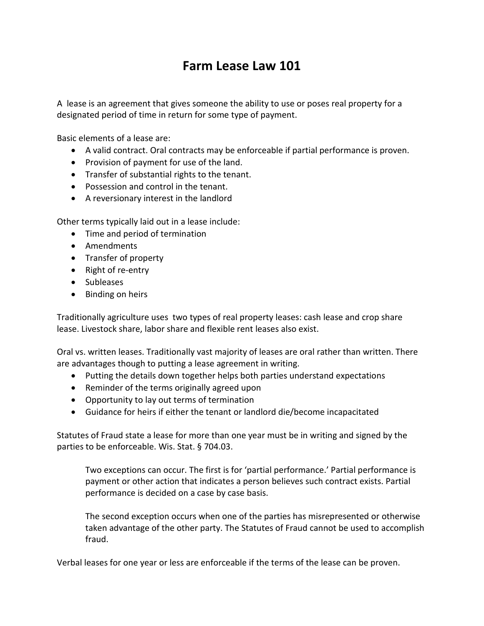## **Farm Lease Law 101**

A lease is an agreement that gives someone the ability to use or poses real property for a designated period of time in return for some type of payment.

Basic elements of a lease are:

- A valid contract. Oral contracts may be enforceable if partial performance is proven.
- Provision of payment for use of the land.
- Transfer of substantial rights to the tenant.
- Possession and control in the tenant.
- A reversionary interest in the landlord

Other terms typically laid out in a lease include:

- Time and period of termination
- Amendments
- Transfer of property
- Right of re-entry
- Subleases
- Binding on heirs

Traditionally agriculture uses two types of real property leases: cash lease and crop share lease. Livestock share, labor share and flexible rent leases also exist.

Oral vs. written leases. Traditionally vast majority of leases are oral rather than written. There are advantages though to putting a lease agreement in writing.

- Putting the details down together helps both parties understand expectations
- Reminder of the terms originally agreed upon
- Opportunity to lay out terms of termination
- Guidance for heirs if either the tenant or landlord die/become incapacitated

Statutes of Fraud state a lease for more than one year must be in writing and signed by the parties to be enforceable. Wis. Stat. § 704.03.

Two exceptions can occur. The first is for 'partial performance.' Partial performance is payment or other action that indicates a person believes such contract exists. Partial performance is decided on a case by case basis.

The second exception occurs when one of the parties has misrepresented or otherwise taken advantage of the other party. The Statutes of Fraud cannot be used to accomplish fraud.

Verbal leases for one year or less are enforceable if the terms of the lease can be proven.